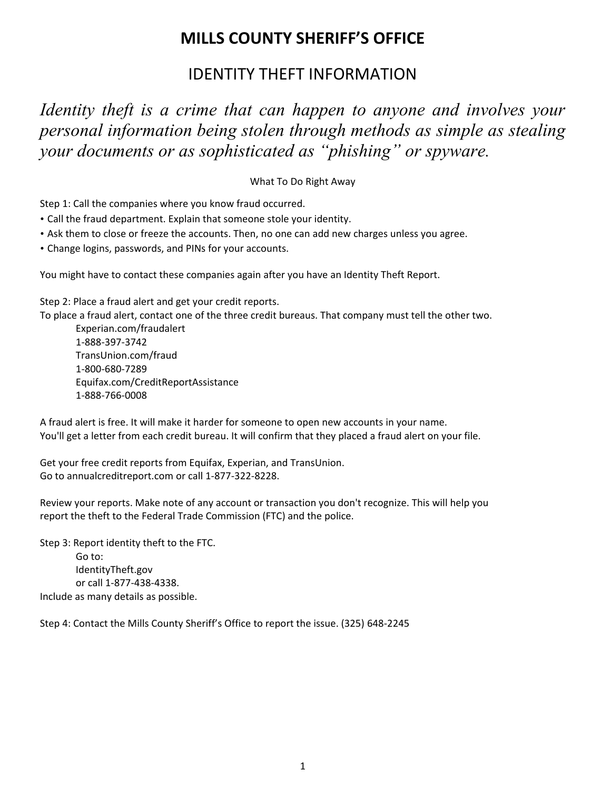## **MILLS COUNTY SHERIFF'S OFFICE**

## IDENTITY THEFT INFORMATION

*Identity theft is a crime that can happen to anyone and involves your personal information being stolen through methods as simple as stealing your documents or as sophisticated as "phishing" or spyware.*

What To Do Right Away

Step 1: Call the companies where you know fraud occurred.

- Call the fraud department. Explain that someone stole your identity.
- Ask them to close or freeze the accounts. Then, no one can add new charges unless you agree.
- Change logins, passwords, and PINs for your accounts.

You might have to contact these companies again after you have an Identity Theft Report.

Step 2: Place a fraud alert and get your credit reports.

To place a fraud alert, contact one of the three credit bureaus. That company must tell the other two.

Experian.com/fraudalert 1-888-397-3742 TransUnion.com/fraud 1-800-680-7289 Equifax.com/CreditReportAssistance 1-888-766-0008

A fraud alert is free. It will make it harder for someone to open new accounts in your name. You'll get a letter from each credit bureau. It will confirm that they placed a fraud alert on your file.

Get your free credit reports from Equifax, Experian, and TransUnion. Go to annualcreditreport.com or call 1-877-322-8228.

Review your reports. Make note of any account or transaction you don't recognize. This will help you report the theft to the Federal Trade Commission (FTC) and the police.

Step 3: Report identity theft to the FTC. Go to: IdentityTheft.gov or call 1-877-438-4338. Include as many details as possible.

Step 4: Contact the Mills County Sheriff's Office to report the issue. (325) 648-2245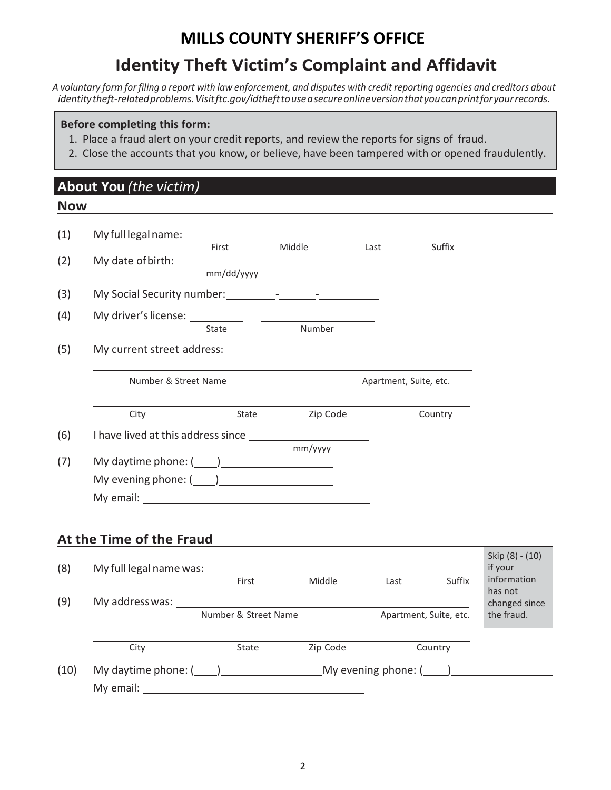# **MILLS COUNTY SHERIFF'S OFFICE**

# **Identity Theft Victim's Complaint and Affidavit**

A voluntary form for filing a report with law enforcement, and disputes with credit reporting agencies and creditors about *identitytheft-relatedproblems.Visitftc.gov/idthefttouseasecureonlineversionthatyoucanprintforyourrecords.*

#### **Before completing this form:**

- 1. Place a fraud alert on your credit reports, and review the reports for signs of fraud.
- 2. Close the accounts that you know, or believe, have been tampered with or opened fraudulently.

## **About You** *(the victim)*

#### **Now**

| (1)  |                                 |                     |          |                        |                        |                             |
|------|---------------------------------|---------------------|----------|------------------------|------------------------|-----------------------------|
| (2)  |                                 | First<br>mm/dd/yyyy | Middle   | Last                   | Suffix                 |                             |
| (3)  |                                 |                     |          |                        |                        |                             |
| (4)  | My driver's license: __________ | State               | Number   |                        |                        |                             |
| (5)  | My current street address:      |                     |          |                        |                        |                             |
|      | Number & Street Name            |                     |          | Apartment, Suite, etc. |                        |                             |
|      | City                            | State               | Zip Code |                        | Country                |                             |
| (6)  |                                 |                     | mm/yyyy  |                        |                        |                             |
| (7)  | My daytime phone: $(\_\_\_)$    |                     |          |                        |                        |                             |
|      | My evening phone: $(\_\_\_)$    |                     |          |                        |                        |                             |
|      |                                 |                     |          |                        |                        |                             |
|      | At the Time of the Fraud        |                     |          |                        |                        |                             |
| (8)  |                                 |                     |          |                        |                        | Skip (8) - (10)<br>if your  |
|      |                                 | First               | Middle   | Last                   | Suffix                 | information<br>has not      |
| (9)  | Number & Street Name            |                     |          |                        | Apartment, Suite, etc. | changed since<br>the fraud. |
|      | City                            | State               | Zip Code |                        | Country                |                             |
| (10) |                                 |                     |          |                        |                        |                             |
|      | My email:                       |                     |          |                        |                        |                             |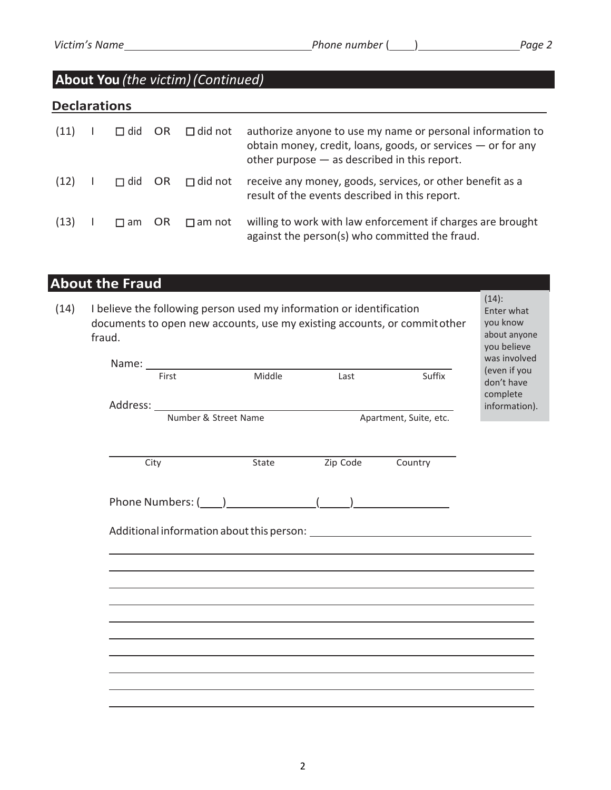## **About You** *(the victim)(Continued)*

### **Declarations**

| (11) | $\Box$ did | OR.  | $\Box$ did not | authorize anyone to use my name or personal information to<br>obtain money, credit, loans, goods, or services - or for any<br>other purpose $-$ as described in this report. |
|------|------------|------|----------------|------------------------------------------------------------------------------------------------------------------------------------------------------------------------------|
| (12) | $\Box$ did | - OR | $\Box$ did not | receive any money, goods, services, or other benefit as a<br>result of the events described in this report.                                                                  |
| (13) | $\Box$ am  | OR.  | $\Box$ am not  | willing to work with law enforcement if charges are brought<br>against the person(s) who committed the fraud.                                                                |

## **About the Fraud**

| (14) | I believe the following person used my information or identification<br>documents to open new accounts, use my existing accounts, or commit other<br>fraud. | $(14)$ :<br>Enter what<br>vou know<br>about anyone<br>you believe |
|------|-------------------------------------------------------------------------------------------------------------------------------------------------------------|-------------------------------------------------------------------|
|------|-------------------------------------------------------------------------------------------------------------------------------------------------------------|-------------------------------------------------------------------|

|                      |        |                        |         | was involved                           |
|----------------------|--------|------------------------|---------|----------------------------------------|
| First                | Middle | Last                   | Suffix  | (even if you<br>don't have<br>complete |
|                      |        |                        |         | information).                          |
| Number & Street Name |        | Apartment, Suite, etc. |         |                                        |
|                      |        |                        |         |                                        |
| City                 | State  | Zip Code               | Country |                                        |
|                      |        |                        |         |                                        |
|                      |        |                        |         |                                        |
|                      |        |                        |         |                                        |
|                      |        |                        |         |                                        |
|                      |        |                        |         |                                        |
|                      |        |                        |         |                                        |
|                      |        |                        |         |                                        |
|                      |        |                        |         |                                        |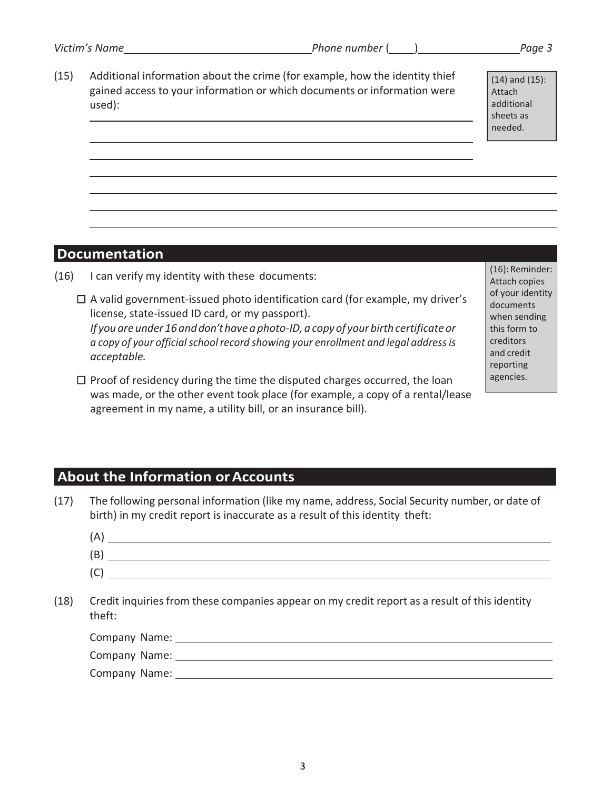(15) Additional information about the crime (for example, how the identity thief gained access to your information or which documents or information were used):

(14) and (15): Attach additional sheets as needed.

### **Documentation**

- (16) I can verify my identity with these documents:
	- $\Box$  A valid government-issued photo identification card (for example, my driver's license, state-issued ID card, or my passport). *If youare under 16and don'thave aphoto-ID,acopyof your birth certificateor*   $a$  *copy* of your official school record showing your enrollment and legal address is *acceptable.*
	- $\Box$  Proof of residency during the time the disputed charges occurred, the loan was made, or the other event took place (for example, a copy of a rental/lease agreement in my name, a utility bill, or an insurance bill).

(16): Reminder: Attach copies of your identity documents when sending this form to creditors and credit reporting agencies.

### **About the Information orAccounts**

(17) The following personal information (like my name, address, Social Security number, or date of birth) in my credit report is inaccurate as a result of this identity theft:

| (A) |  |
|-----|--|
| (B) |  |
| (C) |  |
|     |  |

(18) Credit inquiries from these companies appear on my credit report as a result of this identity theft:

| Company Name: |  |
|---------------|--|
| Company Name: |  |
| Company Name: |  |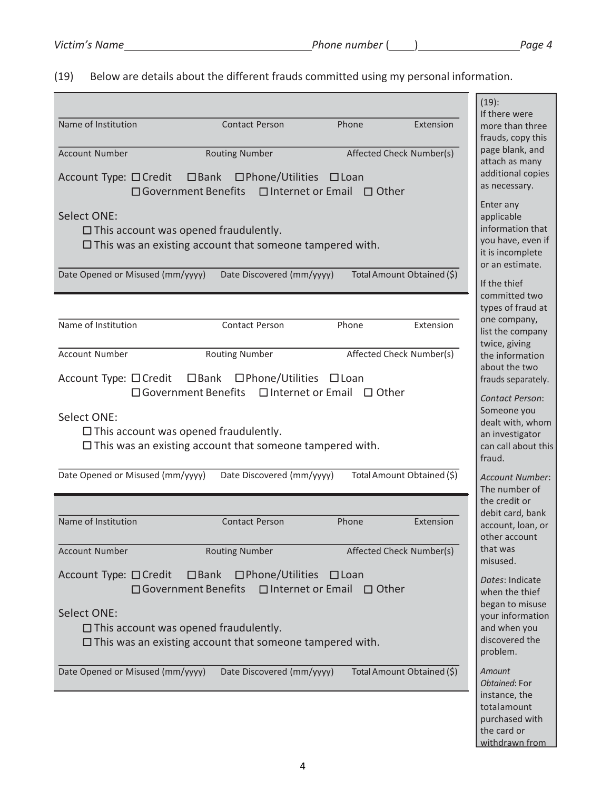the card or withdrawn from

(19) Below are details about the different frauds committed using my personal information.

|                                                                                                                                       |                                                                                |                                                                                                               |           | $(19)$ :<br>If there were                                                                               |
|---------------------------------------------------------------------------------------------------------------------------------------|--------------------------------------------------------------------------------|---------------------------------------------------------------------------------------------------------------|-----------|---------------------------------------------------------------------------------------------------------|
| Name of Institution                                                                                                                   | <b>Contact Person</b>                                                          | Phone                                                                                                         | Extension | more than three<br>frauds, copy this                                                                    |
| <b>Account Number</b>                                                                                                                 | <b>Routing Number</b>                                                          | Affected Check Number(s)                                                                                      |           | page blank, and<br>attach as many                                                                       |
| Account Type: □ Credit □ Bank □ Phone/Utilities □ Loan<br>□ Government Benefits                                                       |                                                                                | $\Box$ Internet or Email $\Box$ Other                                                                         |           | additional copies<br>as necessary.                                                                      |
| <b>Select ONE:</b><br>$\Box$ This account was opened fraudulently.<br>$\Box$ This was an existing account that someone tampered with. |                                                                                |                                                                                                               |           | Enter any<br>applicable<br>information that<br>you have, even if<br>it is incomplete<br>or an estimate. |
| Date Opened or Misused (mm/yyyy)                                                                                                      | Date Discovered (mm/yyyy)                                                      | Total Amount Obtained (\$)                                                                                    |           | If the thief<br>committed two                                                                           |
|                                                                                                                                       |                                                                                |                                                                                                               |           | types of fraud at<br>one company,                                                                       |
| Name of Institution                                                                                                                   | Contact Person                                                                 | Phone                                                                                                         | Extension | list the company<br>twice, giving                                                                       |
| <b>Account Number</b>                                                                                                                 | <b>Routing Number</b>                                                          | Affected Check Number(s)                                                                                      |           | the information<br>about the two                                                                        |
| Account Type: □ Credit □ Bank                                                                                                         | $\square$ Phone/Utilities<br>□ Government Benefits □ Internet or Email □ Other | $\square$ Loan                                                                                                |           | frauds separately.                                                                                      |
| Select ONE:<br>$\square$ This account was opened fraudulently.<br>$\square$ This was an existing account that someone tampered with.  |                                                                                | <b>Contact Person:</b><br>Someone you<br>dealt with, whom<br>an investigator<br>can call about this<br>fraud. |           |                                                                                                         |
| Date Opened or Misused (mm/yyyy)                                                                                                      | Date Discovered (mm/yyyy)                                                      | Total Amount Obtained (\$)                                                                                    |           | <b>Account Number:</b><br>The number of                                                                 |
|                                                                                                                                       |                                                                                |                                                                                                               |           | the credit or<br>debit card, bank                                                                       |
| Name of Institution                                                                                                                   | <b>Contact Person</b>                                                          | Phone                                                                                                         | Extension | account, loan, or<br>other account                                                                      |
| <b>Account Number</b>                                                                                                                 | <b>Routing Number</b>                                                          | Affected Check Number(s)                                                                                      |           | that was<br>misused.                                                                                    |
| $\square$ Bank<br>Account Type: □ Credit<br>□ Government Benefits □ Internet or Email □ Other                                         |                                                                                | Dates: Indicate<br>when the thief<br>began to misuse                                                          |           |                                                                                                         |
| <b>Select ONE:</b>                                                                                                                    |                                                                                |                                                                                                               |           | your information                                                                                        |
| $\Box$ This account was opened fraudulently.<br>$\Box$ This was an existing account that someone tampered with.                       |                                                                                |                                                                                                               |           | and when you<br>discovered the<br>problem.                                                              |
| Date Opened or Misused (mm/yyyy)                                                                                                      | Date Discovered (mm/yyyy)                                                      | Total Amount Obtained (\$)                                                                                    |           | Amount<br>Obtained: For                                                                                 |
|                                                                                                                                       |                                                                                |                                                                                                               |           | instance, the<br>totalamount<br>purchased with                                                          |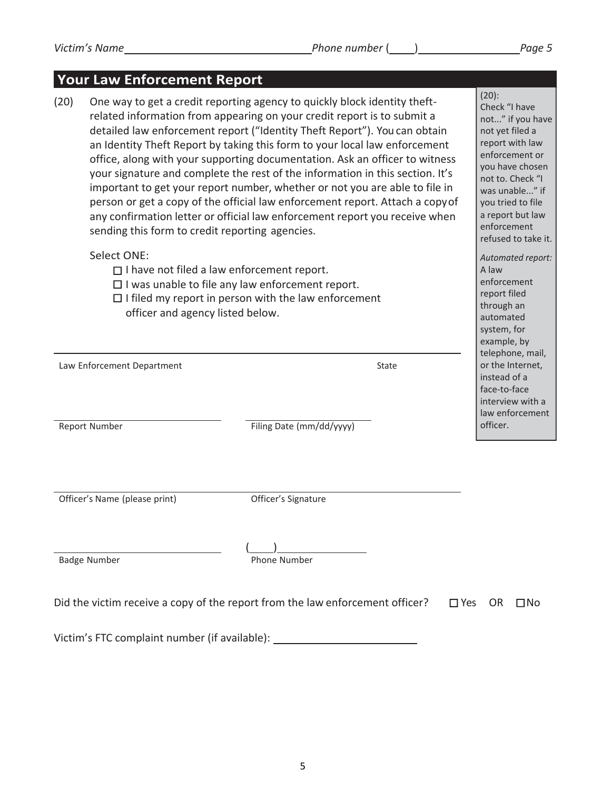#### *Victim's Name Phone number* ( ) *Page 5*

### **Your Law Enforcement Report**

(20) One way to get a credit reporting agency to quickly block identity theftrelated information from appearing on your credit report is to submit a detailed law enforcement report ("Identity Theft Report"). You can obtain an Identity Theft Report by taking this form to your local law enforcement office, along with your supporting documentation. Ask an officer to witness your signature and complete the rest of the information in this section. It's important to get your report number, whether or not you are able to file in person or get a copy of the official law enforcement report. Attach a copyof any confirmation letter or official law enforcement report you receive when sending this form to credit reporting agencies.

#### Select ONE:

- $\Box$  I have not filed a law enforcement report.
- $\square$  I was unable to file any law enforcement report.
- $\Box$  I filed my report in person with the law enforcement officer and agency listed below.

Law Enforcement Department State State State State State State State

Report Number Filing Date (mm/dd/yyyy)

Officer's Name (please print) **Containery Contains Containery** Officer's Signature

 $($ Badge Number **Phone Number** Phone Number

|  | Did the victim receive a copy of the report from the law enforcement officer? | $\square$ Yes OR $\square$ No |  |
|--|-------------------------------------------------------------------------------|-------------------------------|--|
|  |                                                                               |                               |  |

Victim's FTC complaint number (if available):

(20): Check "I have not..." if you have not yet filed a report with law enforcement or you have chosen not to. Check "I was unable..." if you tried to file a report but law enforcement refused to take it. *Automated report:*  A law enforcement report filed through an automated system, for

example, by telephone, mail, or the Internet, instead of a face-to-face interview with a law enforcement

officer.